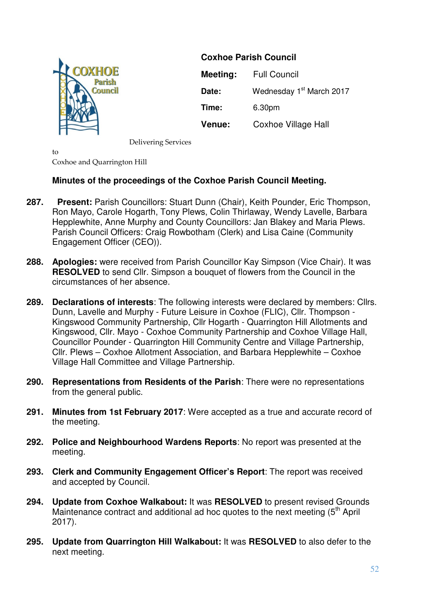

**Coxhoe Parish Council Meeting:** Full Council **Date:** Wednesday 1<sup>st</sup> March 2017 **Time:** 6.30pm **Venue:** Coxhoe Village Hall

Delivering Services

 $t_0$ Coxhoe and Quarrington Hill

# **Minutes of the proceedings of the Coxhoe Parish Council Meeting.**

- **287. Present:** Parish Councillors: Stuart Dunn (Chair), Keith Pounder, Eric Thompson, Ron Mayo, Carole Hogarth, Tony Plews, Colin Thirlaway, Wendy Lavelle, Barbara Hepplewhite, Anne Murphy and County Councillors: Jan Blakey and Maria Plews. Parish Council Officers: Craig Rowbotham (Clerk) and Lisa Caine (Community Engagement Officer (CEO)).
- **288. Apologies:** were received from Parish Councillor Kay Simpson (Vice Chair). It was **RESOLVED** to send Cllr. Simpson a bouquet of flowers from the Council in the circumstances of her absence.
- **289. Declarations of interests**: The following interests were declared by members: Cllrs. Dunn, Lavelle and Murphy - Future Leisure in Coxhoe (FLIC), Cllr. Thompson - Kingswood Community Partnership, Cllr Hogarth - Quarrington Hill Allotments and Kingswood, Cllr. Mayo - Coxhoe Community Partnership and Coxhoe Village Hall, Councillor Pounder - Quarrington Hill Community Centre and Village Partnership, Cllr. Plews – Coxhoe Allotment Association, and Barbara Hepplewhite – Coxhoe Village Hall Committee and Village Partnership.
- **290. Representations from Residents of the Parish**: There were no representations from the general public.
- **291. Minutes from 1st February 2017**: Were accepted as a true and accurate record of the meeting.
- **292. Police and Neighbourhood Wardens Reports**: No report was presented at the meeting.
- **293. Clerk and Community Engagement Officer's Report**: The report was received and accepted by Council.
- **294. Update from Coxhoe Walkabout:** It was **RESOLVED** to present revised Grounds Maintenance contract and additional ad hoc quotes to the next meeting  $(5<sup>th</sup>$  April 2017).
- **295. Update from Quarrington Hill Walkabout:** It was **RESOLVED** to also defer to the next meeting.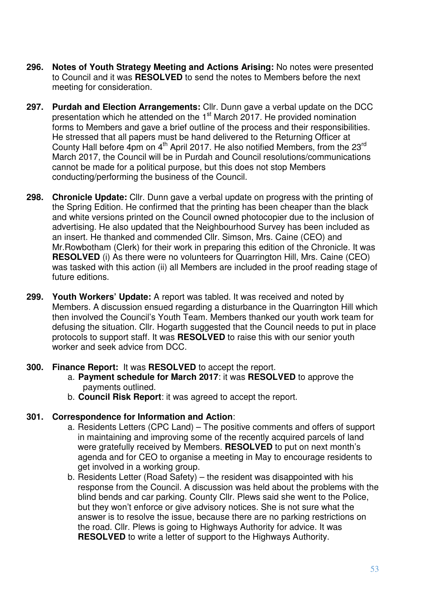- **296. Notes of Youth Strategy Meeting and Actions Arising:** No notes were presented to Council and it was **RESOLVED** to send the notes to Members before the next meeting for consideration.
- **297. Purdah and Election Arrangements:** Cllr. Dunn gave a verbal update on the DCC presentation which he attended on the 1<sup>st</sup> March 2017. He provided nomination forms to Members and gave a brief outline of the process and their responsibilities. He stressed that all papers must be hand delivered to the Returning Officer at County Hall before 4pm on 4<sup>th</sup> April 2017. He also notified Members, from the 23<sup>rd</sup> March 2017, the Council will be in Purdah and Council resolutions/communications cannot be made for a political purpose, but this does not stop Members conducting/performing the business of the Council.
- **298. Chronicle Update:** Cllr. Dunn gave a verbal update on progress with the printing of the Spring Edition. He confirmed that the printing has been cheaper than the black and white versions printed on the Council owned photocopier due to the inclusion of advertising. He also updated that the Neighbourhood Survey has been included as an insert. He thanked and commended Cllr. Simson, Mrs. Caine (CEO) and Mr.Rowbotham (Clerk) for their work in preparing this edition of the Chronicle. It was **RESOLVED** (i) As there were no volunteers for Quarrington Hill, Mrs. Caine (CEO) was tasked with this action (ii) all Members are included in the proof reading stage of future editions.
- **299. Youth Workers' Update:** A report was tabled. It was received and noted by Members. A discussion ensued regarding a disturbance in the Quarrington Hill which then involved the Council's Youth Team. Members thanked our youth work team for defusing the situation. Cllr. Hogarth suggested that the Council needs to put in place protocols to support staff. It was **RESOLVED** to raise this with our senior youth worker and seek advice from DCC.

## **300. Finance Report:** It was **RESOLVED** to accept the report.

- a. **Payment schedule for March 2017**: it was **RESOLVED** to approve the payments outlined.
- b. **Council Risk Report**: it was agreed to accept the report.

#### **301. Correspondence for Information and Action**:

- a. Residents Letters (CPC Land) The positive comments and offers of support in maintaining and improving some of the recently acquired parcels of land were gratefully received by Members. **RESOLVED** to put on next month's agenda and for CEO to organise a meeting in May to encourage residents to get involved in a working group.
- b. Residents Letter (Road Safety) the resident was disappointed with his response from the Council. A discussion was held about the problems with the blind bends and car parking. County Cllr. Plews said she went to the Police, but they won't enforce or give advisory notices. She is not sure what the answer is to resolve the issue, because there are no parking restrictions on the road. Cllr. Plews is going to Highways Authority for advice. It was **RESOLVED** to write a letter of support to the Highways Authority.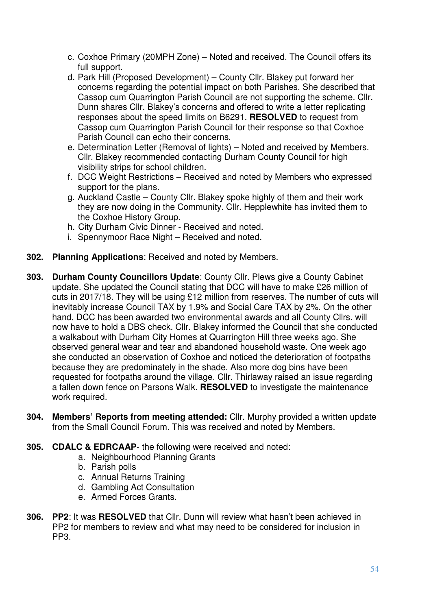- c. Coxhoe Primary (20MPH Zone) Noted and received. The Council offers its full support.
- d. Park Hill (Proposed Development) County Cllr. Blakey put forward her concerns regarding the potential impact on both Parishes. She described that Cassop cum Quarrington Parish Council are not supporting the scheme. Cllr. Dunn shares Cllr. Blakey's concerns and offered to write a letter replicating responses about the speed limits on B6291. **RESOLVED** to request from Cassop cum Quarrington Parish Council for their response so that Coxhoe Parish Council can echo their concerns.
- e. Determination Letter (Removal of lights) Noted and received by Members. Cllr. Blakey recommended contacting Durham County Council for high visibility strips for school children.
- f. DCC Weight Restrictions Received and noted by Members who expressed support for the plans.
- g. Auckland Castle County Cllr. Blakey spoke highly of them and their work they are now doing in the Community. Cllr. Hepplewhite has invited them to the Coxhoe History Group.
- h. City Durham Civic Dinner Received and noted.
- i. Spennymoor Race Night Received and noted.
- **302. Planning Applications**: Received and noted by Members.
- **303. Durham County Councillors Update**: County Cllr. Plews give a County Cabinet update. She updated the Council stating that DCC will have to make £26 million of cuts in 2017/18. They will be using £12 million from reserves. The number of cuts will inevitably increase Council TAX by 1.9% and Social Care TAX by 2%. On the other hand, DCC has been awarded two environmental awards and all County Cllrs. will now have to hold a DBS check. Cllr. Blakey informed the Council that she conducted a walkabout with Durham City Homes at Quarrington Hill three weeks ago. She observed general wear and tear and abandoned household waste. One week ago she conducted an observation of Coxhoe and noticed the deterioration of footpaths because they are predominately in the shade. Also more dog bins have been requested for footpaths around the village. Cllr. Thirlaway raised an issue regarding a fallen down fence on Parsons Walk. **RESOLVED** to investigate the maintenance work required.
- **304. Members' Reports from meeting attended:** Cllr. Murphy provided a written update from the Small Council Forum. This was received and noted by Members.
- **305. CDALC & EDRCAAP** the following were received and noted:
	- a. Neighbourhood Planning Grants
	- b. Parish polls
	- c. Annual Returns Training
	- d. Gambling Act Consultation
	- e. Armed Forces Grants.
- **306. PP2**: It was **RESOLVED** that Cllr. Dunn will review what hasn't been achieved in PP2 for members to review and what may need to be considered for inclusion in PP3.